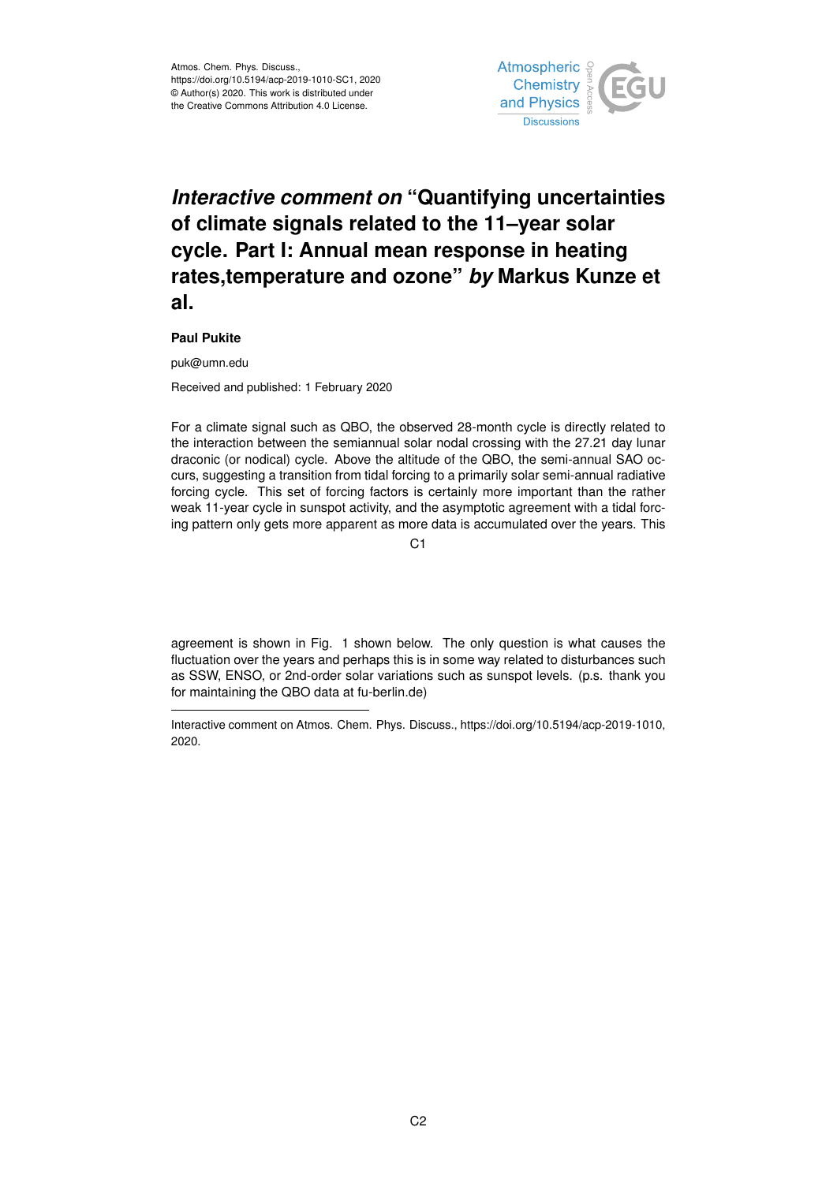

## *Interactive comment on* **"Quantifying uncertainties of climate signals related to the 11–year solar cycle. Part I: Annual mean response in heating rates,temperature and ozone"** *by* **Markus Kunze et al.**

## **Paul Pukite**

puk@umn.edu

Received and published: 1 February 2020

For a climate signal such as QBO, the observed 28-month cycle is directly related to the interaction between the semiannual solar nodal crossing with the 27.21 day lunar draconic (or nodical) cycle. Above the altitude of the QBO, the semi-annual SAO occurs, suggesting a transition from tidal forcing to a primarily solar semi-annual radiative forcing cycle. This set of forcing factors is certainly more important than the rather weak 11-year cycle in sunspot activity, and the asymptotic agreement with a tidal forcing pattern only gets more apparent as more data is accumulated over the years. This

C1

agreement is shown in Fig. 1 shown below. The only question is what causes the fluctuation over the years and perhaps this is in some way related to disturbances such as SSW, ENSO, or 2nd-order solar variations such as sunspot levels. (p.s. thank you for maintaining the QBO data at fu-berlin.de)

Interactive comment on Atmos. Chem. Phys. Discuss., https://doi.org/10.5194/acp-2019-1010, 2020.